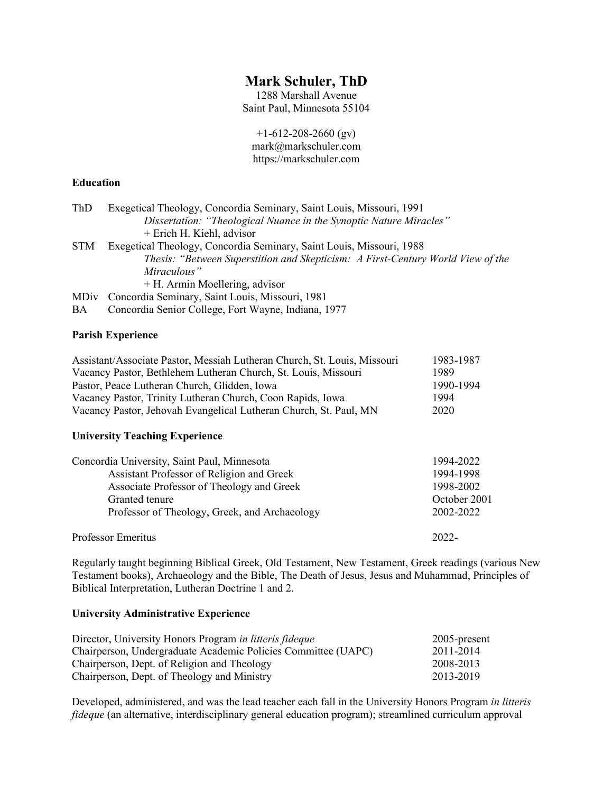# **Mark Schuler, ThD**

1288 Marshall Avenue Saint Paul, Minnesota 55104

 $+1-612-208-2660$  (gv) mark@markschuler.com https://markschuler.com

## **Education**

| ThD        | Exegetical Theology, Concordia Seminary, Saint Louis, Missouri, 1991            |
|------------|---------------------------------------------------------------------------------|
|            | Dissertation: "Theological Nuance in the Synoptic Nature Miracles"              |
|            | + Erich H. Kiehl, advisor                                                       |
| <b>STM</b> | Exegetical Theology, Concordia Seminary, Saint Louis, Missouri, 1988            |
|            | Thesis: "Between Superstition and Skepticism: A First-Century World View of the |
|            | Miraculous"                                                                     |
|            | + H. Armin Moellering, advisor                                                  |
|            | MDiv Concordia Seminary, Saint Louis, Missouri, 1981                            |
| BA         | Concordia Senior College, Fort Wayne, Indiana, 1977                             |

#### **Parish Experience**

| Assistant/Associate Pastor, Messiah Lutheran Church, St. Louis, Missouri | 1983-1987 |
|--------------------------------------------------------------------------|-----------|
| Vacancy Pastor, Bethlehem Lutheran Church, St. Louis, Missouri           | 1989      |
| Pastor, Peace Lutheran Church, Glidden, Iowa                             | 1990-1994 |
| Vacancy Pastor, Trinity Lutheran Church, Coon Rapids, Iowa               | 1994      |
| Vacancy Pastor, Jehovah Evangelical Lutheran Church, St. Paul, MN        | 2020      |

#### **University Teaching Experience**

| Concordia University, Saint Paul, Minnesota   | 1994-2022    |
|-----------------------------------------------|--------------|
| Assistant Professor of Religion and Greek     | 1994-1998    |
| Associate Professor of Theology and Greek     | 1998-2002    |
| Granted tenure                                | October 2001 |
| Professor of Theology, Greek, and Archaeology | 2002-2022    |
| Professor Emeritus                            | 2022-        |

Regularly taught beginning Biblical Greek, Old Testament, New Testament, Greek readings (various New Testament books), Archaeology and the Bible, The Death of Jesus, Jesus and Muhammad, Principles of Biblical Interpretation, Lutheran Doctrine 1 and 2.

#### **University Administrative Experience**

| Director, University Honors Program in litteris fideque       | $2005$ -present |
|---------------------------------------------------------------|-----------------|
| Chairperson, Undergraduate Academic Policies Committee (UAPC) | 2011-2014       |
| Chairperson, Dept. of Religion and Theology                   | 2008-2013       |
| Chairperson, Dept. of Theology and Ministry                   | 2013-2019       |

Developed, administered, and was the lead teacher each fall in the University Honors Program *in litteris fideque* (an alternative, interdisciplinary general education program); streamlined curriculum approval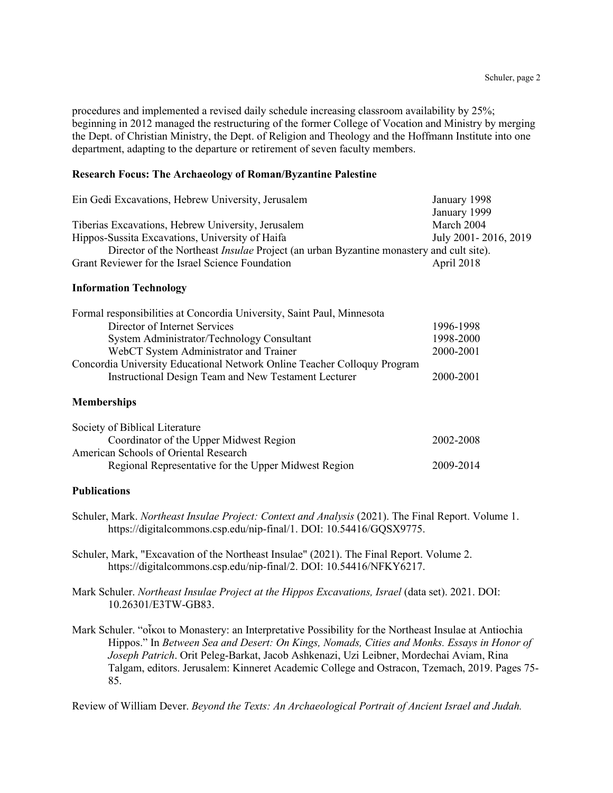procedures and implemented a revised daily schedule increasing classroom availability by 25%; beginning in 2012 managed the restructuring of the former College of Vocation and Ministry by merging the Dept. of Christian Ministry, the Dept. of Religion and Theology and the Hoffmann Institute into one department, adapting to the departure or retirement of seven faculty members.

#### **Research Focus: The Archaeology of Roman/Byzantine Palestine**

| Ein Gedi Excavations, Hebrew University, Jerusalem                                             | January 1998           |
|------------------------------------------------------------------------------------------------|------------------------|
|                                                                                                | January 1999           |
| Tiberias Excavations, Hebrew University, Jerusalem                                             | March 2004             |
| Hippos-Sussita Excavations, University of Haifa                                                | July 2001 - 2016, 2019 |
| Director of the Northeast <i>Insulae</i> Project (an urban Byzantine monastery and cult site). |                        |
| Grant Reviewer for the Israel Science Foundation                                               | April 2018             |

#### **Information Technology**

| Formal responsibilities at Concordia University, Saint Paul, Minnesota   |           |  |
|--------------------------------------------------------------------------|-----------|--|
| Director of Internet Services                                            | 1996-1998 |  |
| System Administrator/Technology Consultant                               | 1998-2000 |  |
| WebCT System Administrator and Trainer                                   | 2000-2001 |  |
| Concordia University Educational Network Online Teacher Colloquy Program |           |  |
| Instructional Design Team and New Testament Lecturer                     | 2000-2001 |  |
|                                                                          |           |  |

### **Memberships**

| Society of Biblical Literature                       |           |
|------------------------------------------------------|-----------|
| Coordinator of the Upper Midwest Region              | 2002-2008 |
| American Schools of Oriental Research                |           |
| Regional Representative for the Upper Midwest Region | 2009-2014 |

## **Publications**

- Schuler, Mark. *Northeast Insulae Project: Context and Analysis* (2021). The Final Report. Volume 1. https://digitalcommons.csp.edu/nip-final/1. DOI: 10.54416/GQSX9775.
- Schuler, Mark, "Excavation of the Northeast Insulae" (2021). The Final Report. Volume 2. https://digitalcommons.csp.edu/nip-final/2. DOI: 10.54416/NFKY6217.
- Mark Schuler. *Northeast Insulae Project at the Hippos Excavations, Israel* (data set). 2021. DOI: 10.26301/E3TW-GB83.
- Mark Schuler. "οἶκοι to Monastery: an Interpretative Possibility for the Northeast Insulae at Antiochia Hippos." In *Between Sea and Desert: On Kings, Nomads, Cities and Monks. Essays in Honor of Joseph Patrich*. Orit Peleg-Barkat, Jacob Ashkenazi, Uzi Leibner, Mordechai Aviam, Rina Talgam, editors. Jerusalem: Kinneret Academic College and Ostracon, Tzemach, 2019. Pages 75- 85.

Review of William Dever. *Beyond the Texts: An Archaeological Portrait of Ancient Israel and Judah.*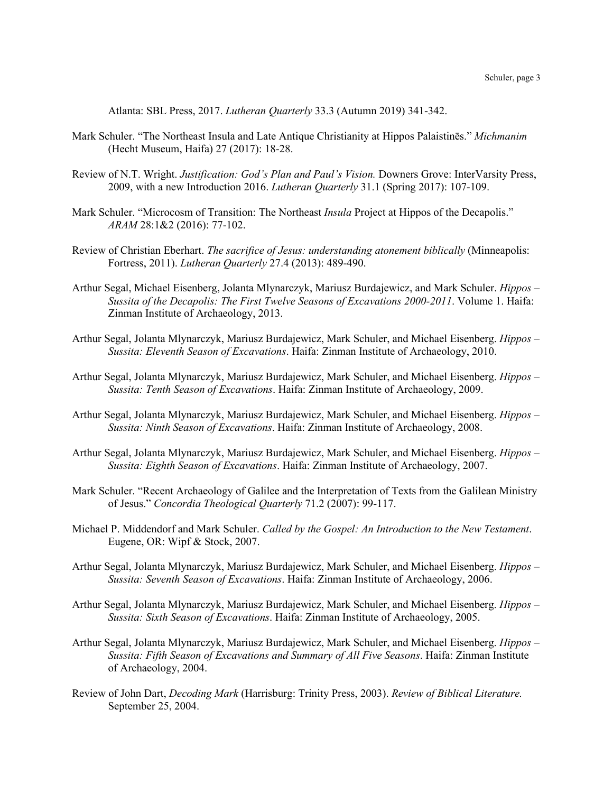Atlanta: SBL Press, 2017. *Lutheran Quarterly* 33.3 (Autumn 2019) 341-342.

- Mark Schuler. "The Northeast Insula and Late Antique Christianity at Hippos Palaistinēs." *Michmanim* (Hecht Museum, Haifa) 27 (2017): 18-28.
- Review of N.T. Wright. *Justification: God's Plan and Paul's Vision.* Downers Grove: InterVarsity Press, 2009, with a new Introduction 2016. *Lutheran Quarterly* 31.1 (Spring 2017): 107-109.
- Mark Schuler. "Microcosm of Transition: The Northeast *Insula* Project at Hippos of the Decapolis." *ARAM* 28:1&2 (2016): 77-102.
- Review of Christian Eberhart. *The sacrifice of Jesus: understanding atonement biblically* (Minneapolis: Fortress, 2011). *Lutheran Quarterly* 27.4 (2013): 489-490.
- Arthur Segal, Michael Eisenberg, Jolanta Mlynarczyk, Mariusz Burdajewicz, and Mark Schuler. *Hippos – Sussita of the Decapolis: The First Twelve Seasons of Excavations 2000-2011*. Volume 1. Haifa: Zinman Institute of Archaeology, 2013.
- Arthur Segal, Jolanta Mlynarczyk, Mariusz Burdajewicz, Mark Schuler, and Michael Eisenberg. *Hippos – Sussita: Eleventh Season of Excavations*. Haifa: Zinman Institute of Archaeology, 2010.
- Arthur Segal, Jolanta Mlynarczyk, Mariusz Burdajewicz, Mark Schuler, and Michael Eisenberg. *Hippos – Sussita: Tenth Season of Excavations*. Haifa: Zinman Institute of Archaeology, 2009.
- Arthur Segal, Jolanta Mlynarczyk, Mariusz Burdajewicz, Mark Schuler, and Michael Eisenberg. *Hippos – Sussita: Ninth Season of Excavations*. Haifa: Zinman Institute of Archaeology, 2008.
- Arthur Segal, Jolanta Mlynarczyk, Mariusz Burdajewicz, Mark Schuler, and Michael Eisenberg. *Hippos – Sussita: Eighth Season of Excavations*. Haifa: Zinman Institute of Archaeology, 2007.
- Mark Schuler. "Recent Archaeology of Galilee and the Interpretation of Texts from the Galilean Ministry of Jesus." *Concordia Theological Quarterly* 71.2 (2007): 99-117.
- Michael P. Middendorf and Mark Schuler. *Called by the Gospel: An Introduction to the New Testament*. Eugene, OR: Wipf & Stock, 2007.
- Arthur Segal, Jolanta Mlynarczyk, Mariusz Burdajewicz, Mark Schuler, and Michael Eisenberg. *Hippos – Sussita: Seventh Season of Excavations*. Haifa: Zinman Institute of Archaeology, 2006.
- Arthur Segal, Jolanta Mlynarczyk, Mariusz Burdajewicz, Mark Schuler, and Michael Eisenberg. *Hippos – Sussita: Sixth Season of Excavations*. Haifa: Zinman Institute of Archaeology, 2005.
- Arthur Segal, Jolanta Mlynarczyk, Mariusz Burdajewicz, Mark Schuler, and Michael Eisenberg. *Hippos – Sussita: Fifth Season of Excavations and Summary of All Five Seasons*. Haifa: Zinman Institute of Archaeology, 2004.
- Review of John Dart, *Decoding Mark* (Harrisburg: Trinity Press, 2003). *Review of Biblical Literature.* September 25, 2004.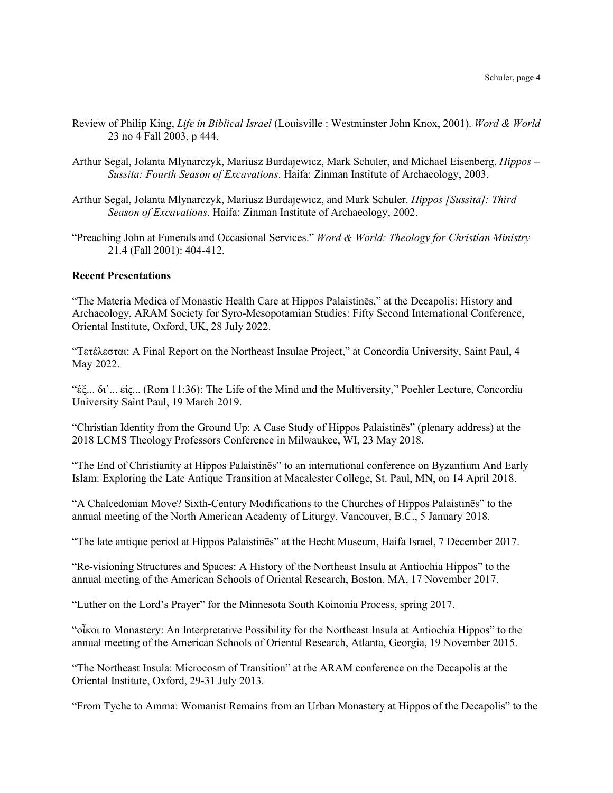- Review of Philip King, *Life in Biblical Israel* (Louisville : Westminster John Knox, 2001). *Word & World* 23 no 4 Fall 2003, p 444.
- Arthur Segal, Jolanta Mlynarczyk, Mariusz Burdajewicz, Mark Schuler, and Michael Eisenberg. *Hippos – Sussita: Fourth Season of Excavations*. Haifa: Zinman Institute of Archaeology, 2003.
- Arthur Segal, Jolanta Mlynarczyk, Mariusz Burdajewicz, and Mark Schuler. *Hippos [Sussita]: Third Season of Excavations*. Haifa: Zinman Institute of Archaeology, 2002.
- "Preaching John at Funerals and Occasional Services." *Word & World: Theology for Christian Ministry* 21.4 (Fall 2001): 404-412.

#### **Recent Presentations**

"The Materia Medica of Monastic Health Care at Hippos Palaistinēs," at the Decapolis: History and Archaeology, ARAM Society for Syro-Mesopotamian Studies: Fifty Second International Conference, Oriental Institute, Oxford, UK, 28 July 2022.

"Τετέλεσται: A Final Report on the Northeast Insulae Project," at Concordia University, Saint Paul, 4 May 2022.

"ἐξ... δι᾿... εἰς... (Rom 11:36): The Life of the Mind and the Multiversity," Poehler Lecture, Concordia University Saint Paul, 19 March 2019.

"Christian Identity from the Ground Up: A Case Study of Hippos Palaistinēs" (plenary address) at the 2018 LCMS Theology Professors Conference in Milwaukee, WI, 23 May 2018.

"The End of Christianity at Hippos Palaistinēs" to an international conference on Byzantium And Early Islam: Exploring the Late Antique Transition at Macalester College, St. Paul, MN, on 14 April 2018.

"A Chalcedonian Move? Sixth-Century Modifications to the Churches of Hippos Palaistinēs" to the annual meeting of the North American Academy of Liturgy, Vancouver, B.C., 5 January 2018.

"The late antique period at Hippos Palaistinēs" at the Hecht Museum, Haifa Israel, 7 December 2017.

"Re-visioning Structures and Spaces: A History of the Northeast Insula at Antiochia Hippos" to the annual meeting of the American Schools of Oriental Research, Boston, MA, 17 November 2017.

"Luther on the Lord's Prayer" for the Minnesota South Koinonia Process, spring 2017.

"οἶκοι to Monastery: An Interpretative Possibility for the Northeast Insula at Antiochia Hippos" to the annual meeting of the American Schools of Oriental Research, Atlanta, Georgia, 19 November 2015.

"The Northeast Insula: Microcosm of Transition" at the ARAM conference on the Decapolis at the Oriental Institute, Oxford, 29-31 July 2013.

"From Tyche to Amma: Womanist Remains from an Urban Monastery at Hippos of the Decapolis" to the